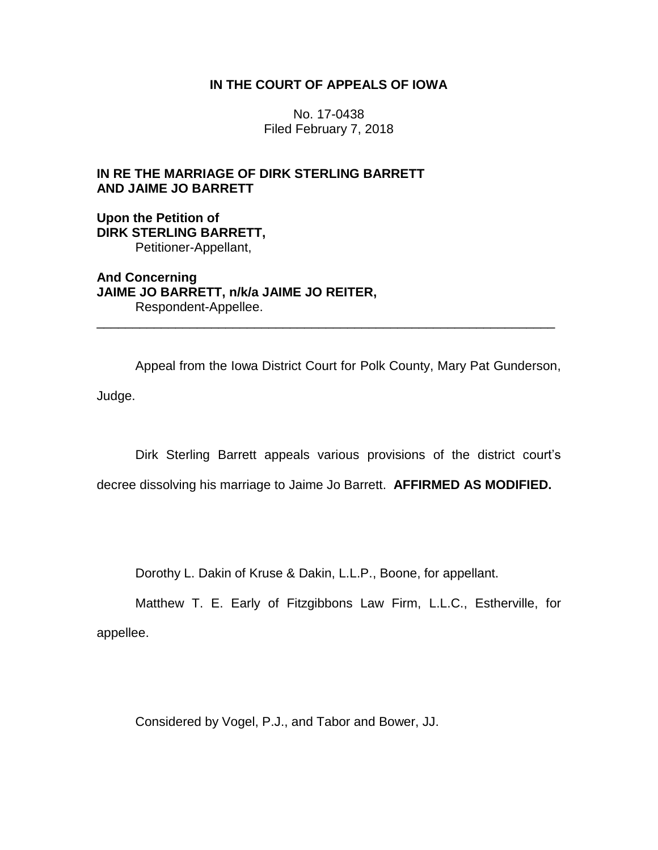## **IN THE COURT OF APPEALS OF IOWA**

No. 17-0438 Filed February 7, 2018

# **IN RE THE MARRIAGE OF DIRK STERLING BARRETT AND JAIME JO BARRETT**

**Upon the Petition of DIRK STERLING BARRETT,** Petitioner-Appellant,

**And Concerning JAIME JO BARRETT, n/k/a JAIME JO REITER,** Respondent-Appellee.

Appeal from the Iowa District Court for Polk County, Mary Pat Gunderson,

\_\_\_\_\_\_\_\_\_\_\_\_\_\_\_\_\_\_\_\_\_\_\_\_\_\_\_\_\_\_\_\_\_\_\_\_\_\_\_\_\_\_\_\_\_\_\_\_\_\_\_\_\_\_\_\_\_\_\_\_\_\_\_\_

Judge.

Dirk Sterling Barrett appeals various provisions of the district court's

decree dissolving his marriage to Jaime Jo Barrett. **AFFIRMED AS MODIFIED.**

Dorothy L. Dakin of Kruse & Dakin, L.L.P., Boone, for appellant.

Matthew T. E. Early of Fitzgibbons Law Firm, L.L.C., Estherville, for appellee.

Considered by Vogel, P.J., and Tabor and Bower, JJ.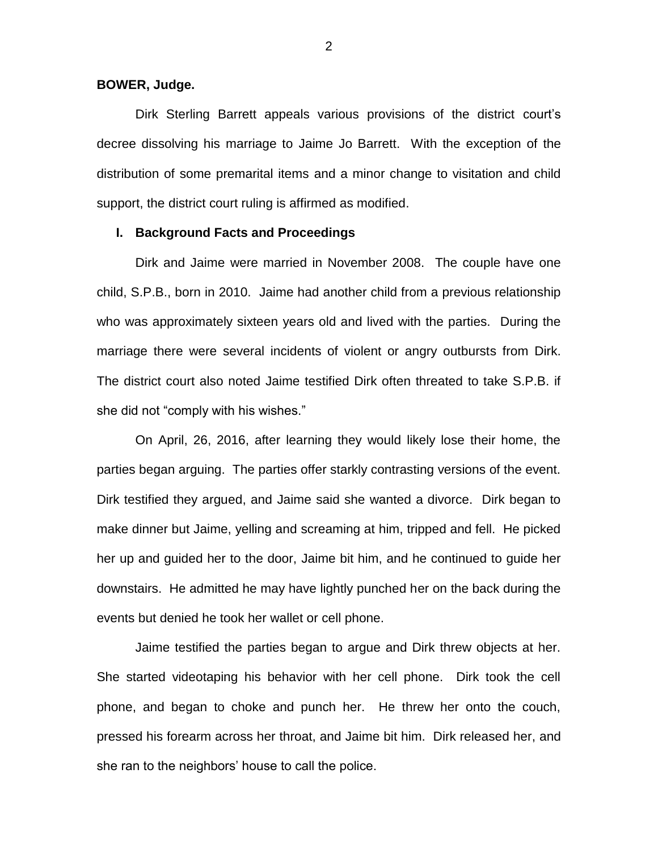#### **BOWER, Judge.**

Dirk Sterling Barrett appeals various provisions of the district court's decree dissolving his marriage to Jaime Jo Barrett. With the exception of the distribution of some premarital items and a minor change to visitation and child support, the district court ruling is affirmed as modified.

### **I. Background Facts and Proceedings**

Dirk and Jaime were married in November 2008. The couple have one child, S.P.B., born in 2010. Jaime had another child from a previous relationship who was approximately sixteen years old and lived with the parties. During the marriage there were several incidents of violent or angry outbursts from Dirk. The district court also noted Jaime testified Dirk often threated to take S.P.B. if she did not "comply with his wishes."

On April, 26, 2016, after learning they would likely lose their home, the parties began arguing. The parties offer starkly contrasting versions of the event. Dirk testified they argued, and Jaime said she wanted a divorce. Dirk began to make dinner but Jaime, yelling and screaming at him, tripped and fell. He picked her up and guided her to the door, Jaime bit him, and he continued to guide her downstairs. He admitted he may have lightly punched her on the back during the events but denied he took her wallet or cell phone.

Jaime testified the parties began to argue and Dirk threw objects at her. She started videotaping his behavior with her cell phone. Dirk took the cell phone, and began to choke and punch her. He threw her onto the couch, pressed his forearm across her throat, and Jaime bit him. Dirk released her, and she ran to the neighbors' house to call the police.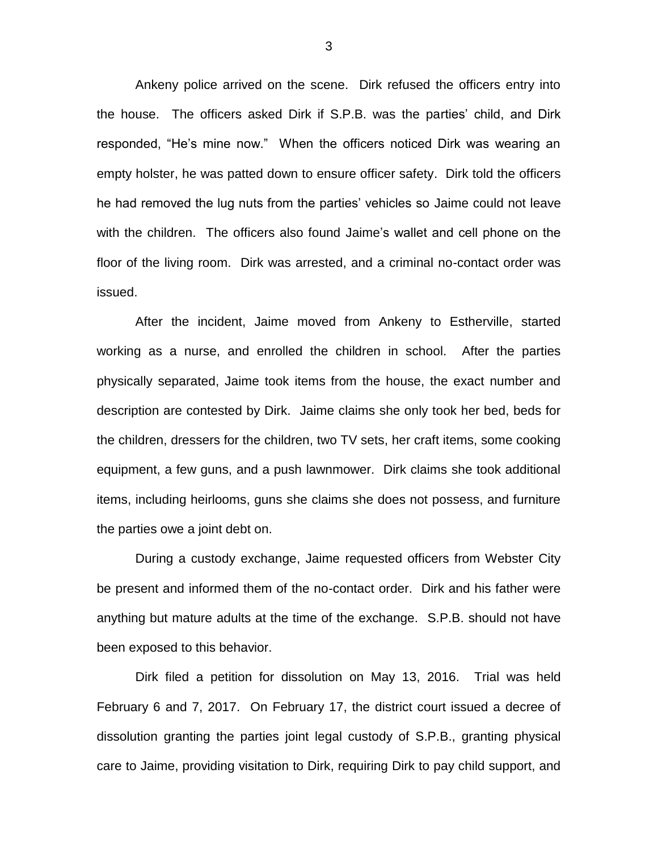Ankeny police arrived on the scene. Dirk refused the officers entry into the house. The officers asked Dirk if S.P.B. was the parties' child, and Dirk responded, "He's mine now." When the officers noticed Dirk was wearing an empty holster, he was patted down to ensure officer safety. Dirk told the officers he had removed the lug nuts from the parties' vehicles so Jaime could not leave with the children. The officers also found Jaime's wallet and cell phone on the floor of the living room. Dirk was arrested, and a criminal no-contact order was issued.

After the incident, Jaime moved from Ankeny to Estherville, started working as a nurse, and enrolled the children in school. After the parties physically separated, Jaime took items from the house, the exact number and description are contested by Dirk. Jaime claims she only took her bed, beds for the children, dressers for the children, two TV sets, her craft items, some cooking equipment, a few guns, and a push lawnmower. Dirk claims she took additional items, including heirlooms, guns she claims she does not possess, and furniture the parties owe a joint debt on.

During a custody exchange, Jaime requested officers from Webster City be present and informed them of the no-contact order. Dirk and his father were anything but mature adults at the time of the exchange. S.P.B. should not have been exposed to this behavior.

Dirk filed a petition for dissolution on May 13, 2016. Trial was held February 6 and 7, 2017. On February 17, the district court issued a decree of dissolution granting the parties joint legal custody of S.P.B., granting physical care to Jaime, providing visitation to Dirk, requiring Dirk to pay child support, and

3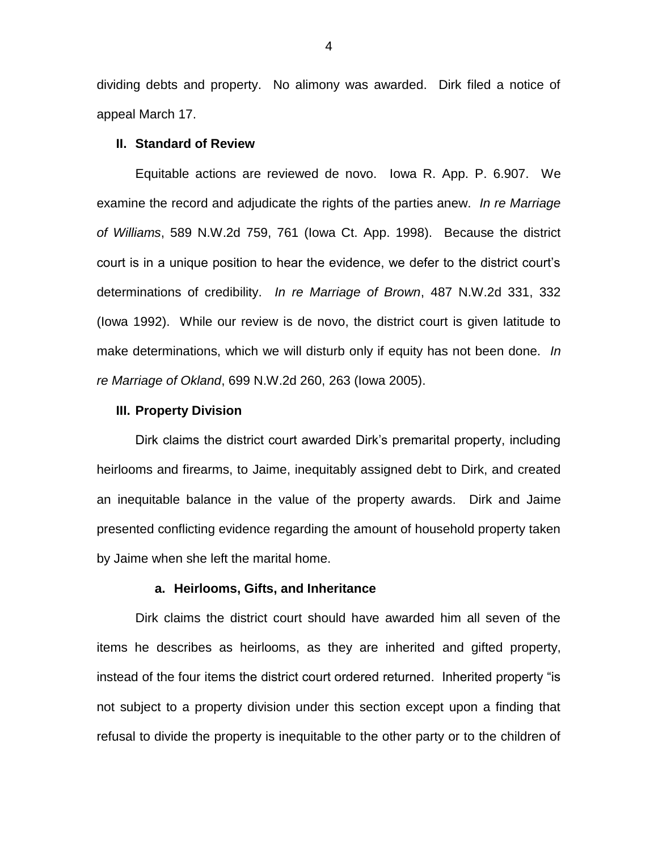dividing debts and property. No alimony was awarded. Dirk filed a notice of appeal March 17.

### **II. Standard of Review**

Equitable actions are reviewed de novo. Iowa R. App. P. 6.907. We examine the record and adjudicate the rights of the parties anew. *In re Marriage of Williams*, 589 N.W.2d 759, 761 (Iowa Ct. App. 1998). Because the district court is in a unique position to hear the evidence, we defer to the district court's determinations of credibility. *In re Marriage of Brown*, 487 N.W.2d 331, 332 (Iowa 1992). While our review is de novo, the district court is given latitude to make determinations, which we will disturb only if equity has not been done. *In re Marriage of Okland*, 699 N.W.2d 260, 263 (Iowa 2005).

#### **III. Property Division**

Dirk claims the district court awarded Dirk's premarital property, including heirlooms and firearms, to Jaime, inequitably assigned debt to Dirk, and created an inequitable balance in the value of the property awards. Dirk and Jaime presented conflicting evidence regarding the amount of household property taken by Jaime when she left the marital home.

### **a. Heirlooms, Gifts, and Inheritance**

Dirk claims the district court should have awarded him all seven of the items he describes as heirlooms, as they are inherited and gifted property, instead of the four items the district court ordered returned. Inherited property "is not subject to a property division under this section except upon a finding that refusal to divide the property is inequitable to the other party or to the children of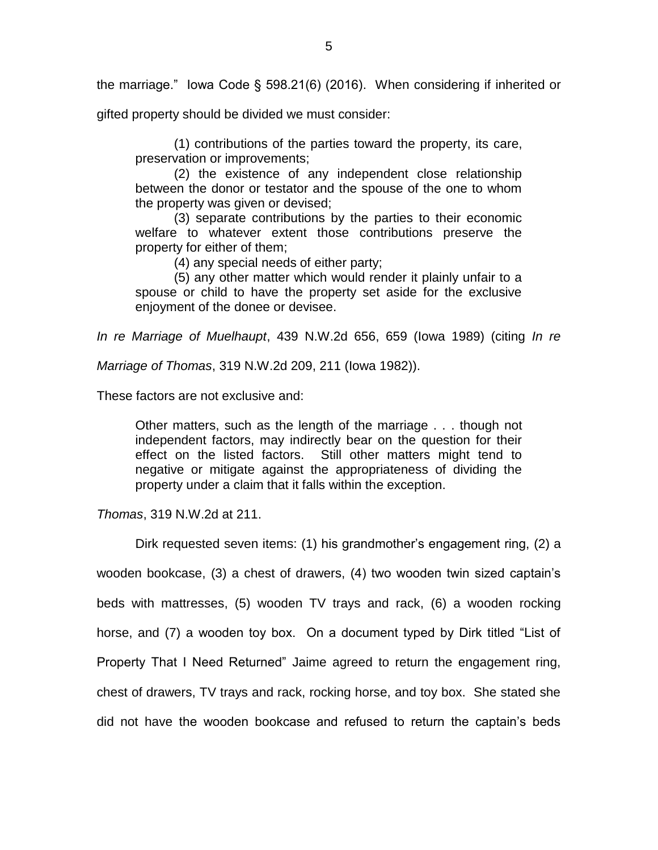the marriage." Iowa Code § 598.21(6) (2016). When considering if inherited or

gifted property should be divided we must consider:

(1) contributions of the parties toward the property, its care, preservation or improvements;

(2) the existence of any independent close relationship between the donor or testator and the spouse of the one to whom the property was given or devised;

(3) separate contributions by the parties to their economic welfare to whatever extent those contributions preserve the property for either of them;

(4) any special needs of either party;

(5) any other matter which would render it plainly unfair to a spouse or child to have the property set aside for the exclusive enjoyment of the donee or devisee.

*In re Marriage of Muelhaupt*, 439 N.W.2d 656, 659 (Iowa 1989) (citing *In re* 

*Marriage of Thomas*, 319 N.W.2d 209, 211 (Iowa 1982)).

These factors are not exclusive and:

Other matters, such as the length of the marriage . . . though not independent factors, may indirectly bear on the question for their effect on the listed factors. Still other matters might tend to negative or mitigate against the appropriateness of dividing the property under a claim that it falls within the exception.

*Thomas*, 319 N.W.2d at 211.

Dirk requested seven items: (1) his grandmother's engagement ring, (2) a wooden bookcase, (3) a chest of drawers, (4) two wooden twin sized captain's beds with mattresses, (5) wooden TV trays and rack, (6) a wooden rocking horse, and (7) a wooden toy box. On a document typed by Dirk titled "List of Property That I Need Returned" Jaime agreed to return the engagement ring, chest of drawers, TV trays and rack, rocking horse, and toy box. She stated she did not have the wooden bookcase and refused to return the captain's beds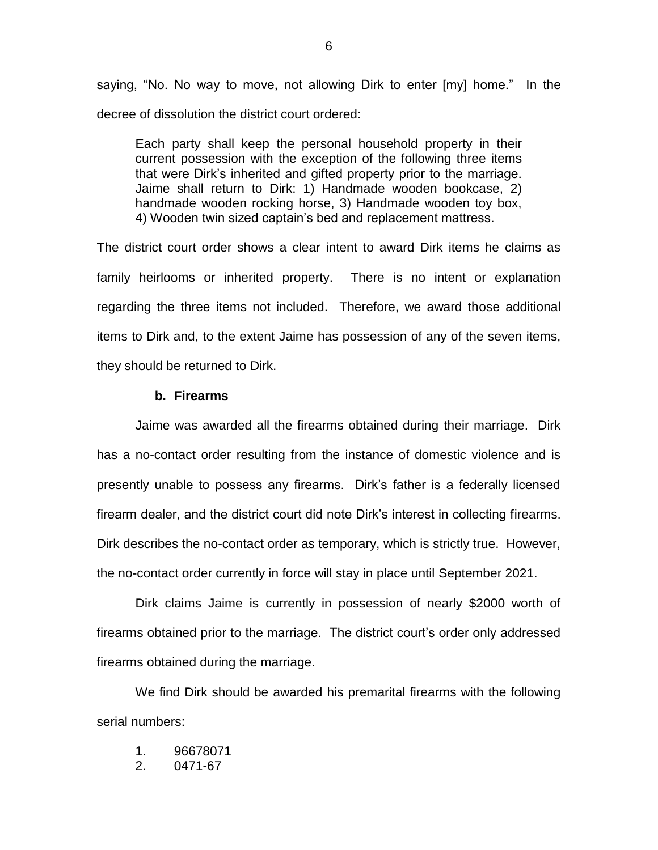saying, "No. No way to move, not allowing Dirk to enter [my] home." In the decree of dissolution the district court ordered:

Each party shall keep the personal household property in their current possession with the exception of the following three items that were Dirk's inherited and gifted property prior to the marriage. Jaime shall return to Dirk: 1) Handmade wooden bookcase, 2) handmade wooden rocking horse, 3) Handmade wooden toy box, 4) Wooden twin sized captain's bed and replacement mattress.

The district court order shows a clear intent to award Dirk items he claims as family heirlooms or inherited property. There is no intent or explanation regarding the three items not included. Therefore, we award those additional items to Dirk and, to the extent Jaime has possession of any of the seven items, they should be returned to Dirk.

## **b. Firearms**

Jaime was awarded all the firearms obtained during their marriage. Dirk has a no-contact order resulting from the instance of domestic violence and is presently unable to possess any firearms. Dirk's father is a federally licensed firearm dealer, and the district court did note Dirk's interest in collecting firearms. Dirk describes the no-contact order as temporary, which is strictly true. However, the no-contact order currently in force will stay in place until September 2021.

Dirk claims Jaime is currently in possession of nearly \$2000 worth of firearms obtained prior to the marriage. The district court's order only addressed firearms obtained during the marriage.

We find Dirk should be awarded his premarital firearms with the following serial numbers:

- 1. 96678071
- 2. 0471-67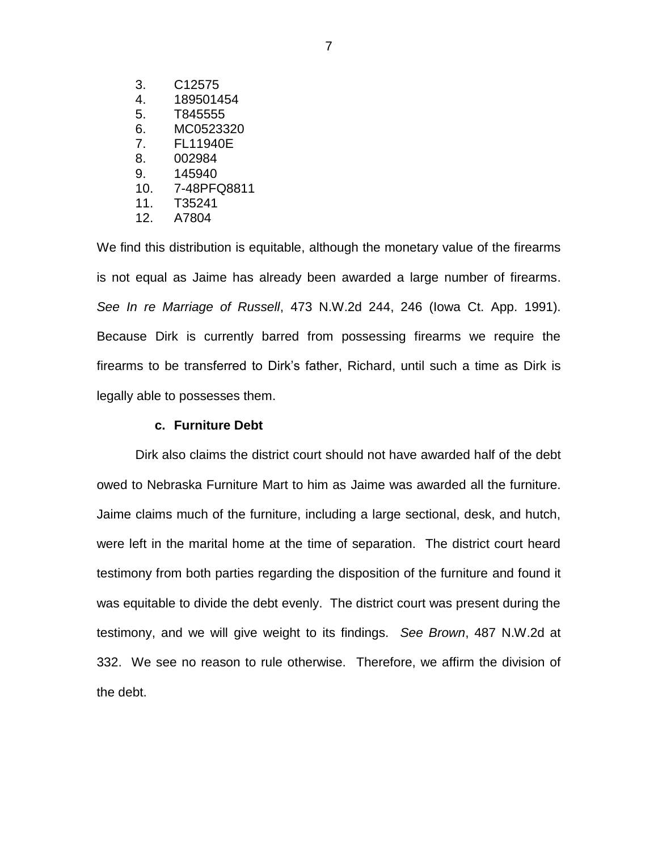- 3. C12575
- 4. 189501454
- 5. T845555
- 6. MC0523320
- 7. FL11940E
- 8. 002984
- 9. 145940
- 10. 7-48PFQ8811
- 11. T35241
- 12. A7804

We find this distribution is equitable, although the monetary value of the firearms is not equal as Jaime has already been awarded a large number of firearms. *See In re Marriage of Russell*, 473 N.W.2d 244, 246 (Iowa Ct. App. 1991). Because Dirk is currently barred from possessing firearms we require the firearms to be transferred to Dirk's father, Richard, until such a time as Dirk is legally able to possesses them.

## **c. Furniture Debt**

Dirk also claims the district court should not have awarded half of the debt owed to Nebraska Furniture Mart to him as Jaime was awarded all the furniture. Jaime claims much of the furniture, including a large sectional, desk, and hutch, were left in the marital home at the time of separation. The district court heard testimony from both parties regarding the disposition of the furniture and found it was equitable to divide the debt evenly. The district court was present during the testimony, and we will give weight to its findings. *See Brown*, 487 N.W.2d at 332. We see no reason to rule otherwise. Therefore, we affirm the division of the debt.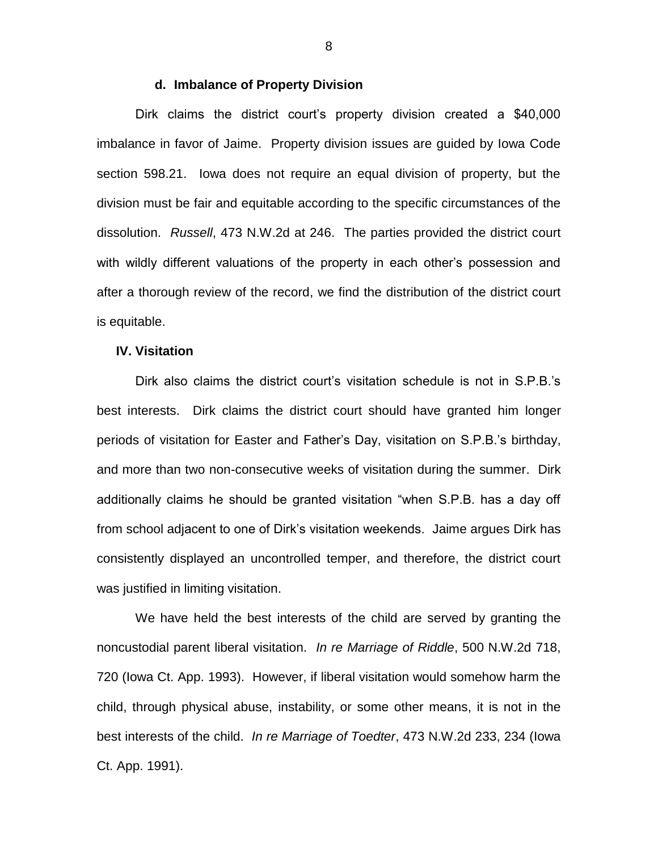#### **d. Imbalance of Property Division**

Dirk claims the district court's property division created a \$40,000 imbalance in favor of Jaime. Property division issues are guided by Iowa Code section 598.21. Iowa does not require an equal division of property, but the division must be fair and equitable according to the specific circumstances of the dissolution. *Russell*, 473 N.W.2d at 246. The parties provided the district court with wildly different valuations of the property in each other's possession and after a thorough review of the record, we find the distribution of the district court is equitable.

#### **IV. Visitation**

Dirk also claims the district court's visitation schedule is not in S.P.B.'s best interests. Dirk claims the district court should have granted him longer periods of visitation for Easter and Father's Day, visitation on S.P.B.'s birthday, and more than two non-consecutive weeks of visitation during the summer. Dirk additionally claims he should be granted visitation "when S.P.B. has a day off from school adjacent to one of Dirk's visitation weekends. Jaime argues Dirk has consistently displayed an uncontrolled temper, and therefore, the district court was justified in limiting visitation.

We have held the best interests of the child are served by granting the noncustodial parent liberal visitation. *In re Marriage of Riddle*, 500 N.W.2d 718, 720 (Iowa Ct. App. 1993). However, if liberal visitation would somehow harm the child, through physical abuse, instability, or some other means, it is not in the best interests of the child. *In re Marriage of Toedter*, 473 N.W.2d 233, 234 (Iowa Ct. App. 1991).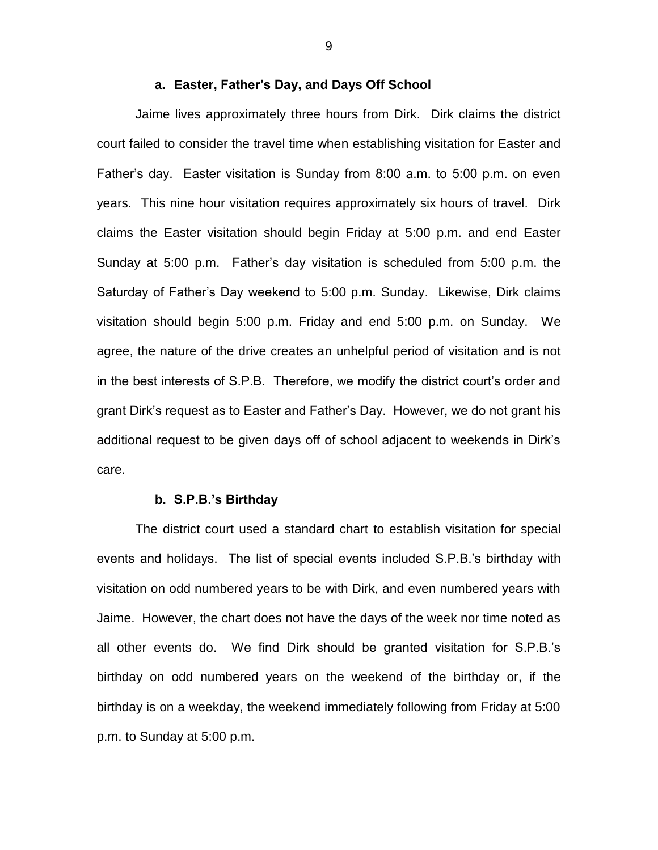#### **a. Easter, Father's Day, and Days Off School**

Jaime lives approximately three hours from Dirk. Dirk claims the district court failed to consider the travel time when establishing visitation for Easter and Father's day. Easter visitation is Sunday from 8:00 a.m. to 5:00 p.m. on even years. This nine hour visitation requires approximately six hours of travel. Dirk claims the Easter visitation should begin Friday at 5:00 p.m. and end Easter Sunday at 5:00 p.m. Father's day visitation is scheduled from 5:00 p.m. the Saturday of Father's Day weekend to 5:00 p.m. Sunday. Likewise, Dirk claims visitation should begin 5:00 p.m. Friday and end 5:00 p.m. on Sunday. We agree, the nature of the drive creates an unhelpful period of visitation and is not in the best interests of S.P.B. Therefore, we modify the district court's order and grant Dirk's request as to Easter and Father's Day. However, we do not grant his additional request to be given days off of school adjacent to weekends in Dirk's care.

#### **b. S.P.B.'s Birthday**

The district court used a standard chart to establish visitation for special events and holidays. The list of special events included S.P.B.'s birthday with visitation on odd numbered years to be with Dirk, and even numbered years with Jaime. However, the chart does not have the days of the week nor time noted as all other events do. We find Dirk should be granted visitation for S.P.B.'s birthday on odd numbered years on the weekend of the birthday or, if the birthday is on a weekday, the weekend immediately following from Friday at 5:00 p.m. to Sunday at 5:00 p.m.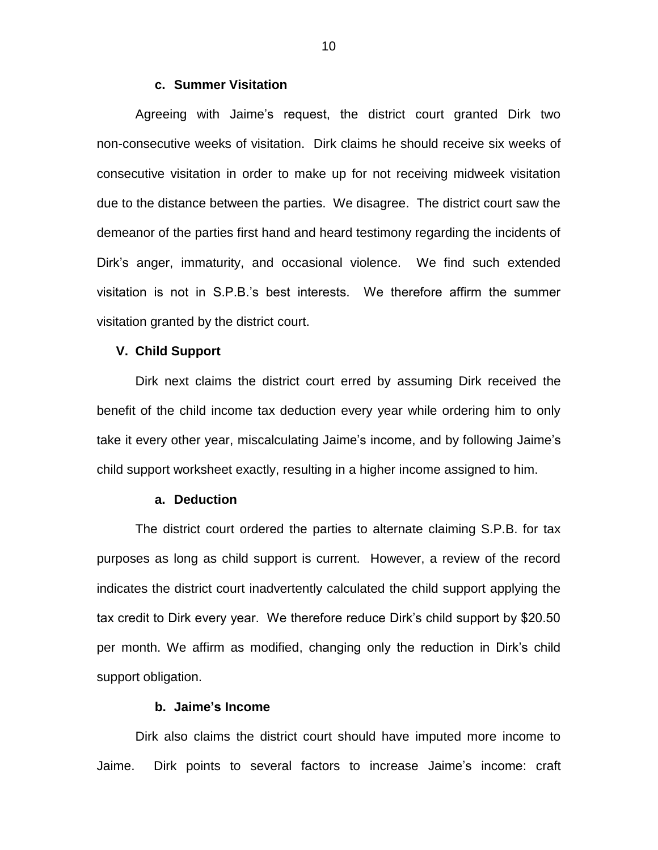#### **c. Summer Visitation**

Agreeing with Jaime's request, the district court granted Dirk two non-consecutive weeks of visitation. Dirk claims he should receive six weeks of consecutive visitation in order to make up for not receiving midweek visitation due to the distance between the parties. We disagree. The district court saw the demeanor of the parties first hand and heard testimony regarding the incidents of Dirk's anger, immaturity, and occasional violence. We find such extended visitation is not in S.P.B.'s best interests. We therefore affirm the summer visitation granted by the district court.

#### **V. Child Support**

Dirk next claims the district court erred by assuming Dirk received the benefit of the child income tax deduction every year while ordering him to only take it every other year, miscalculating Jaime's income, and by following Jaime's child support worksheet exactly, resulting in a higher income assigned to him.

#### **a. Deduction**

The district court ordered the parties to alternate claiming S.P.B. for tax purposes as long as child support is current. However, a review of the record indicates the district court inadvertently calculated the child support applying the tax credit to Dirk every year. We therefore reduce Dirk's child support by \$20.50 per month. We affirm as modified, changing only the reduction in Dirk's child support obligation.

## **b. Jaime's Income**

Dirk also claims the district court should have imputed more income to Jaime. Dirk points to several factors to increase Jaime's income: craft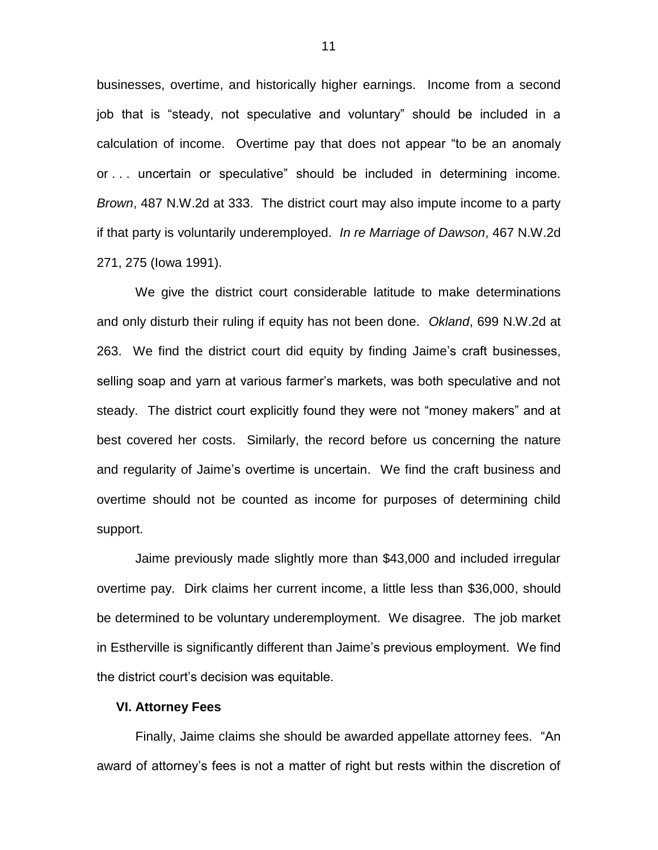businesses, overtime, and historically higher earnings. Income from a second job that is "steady, not speculative and voluntary" should be included in a calculation of income. Overtime pay that does not appear "to be an anomaly or . . . uncertain or speculative" should be included in determining income. *Brown*, 487 N.W.2d at 333. The district court may also impute income to a party if that party is voluntarily underemployed. *In re Marriage of Dawson*, 467 N.W.2d 271, 275 (Iowa 1991).

We give the district court considerable latitude to make determinations and only disturb their ruling if equity has not been done. *Okland*, 699 N.W.2d at 263. We find the district court did equity by finding Jaime's craft businesses, selling soap and yarn at various farmer's markets, was both speculative and not steady. The district court explicitly found they were not "money makers" and at best covered her costs. Similarly, the record before us concerning the nature and regularity of Jaime's overtime is uncertain. We find the craft business and overtime should not be counted as income for purposes of determining child support.

Jaime previously made slightly more than \$43,000 and included irregular overtime pay. Dirk claims her current income, a little less than \$36,000, should be determined to be voluntary underemployment. We disagree. The job market in Estherville is significantly different than Jaime's previous employment. We find the district court's decision was equitable.

#### **VI. Attorney Fees**

Finally, Jaime claims she should be awarded appellate attorney fees. "An award of attorney's fees is not a matter of right but rests within the discretion of